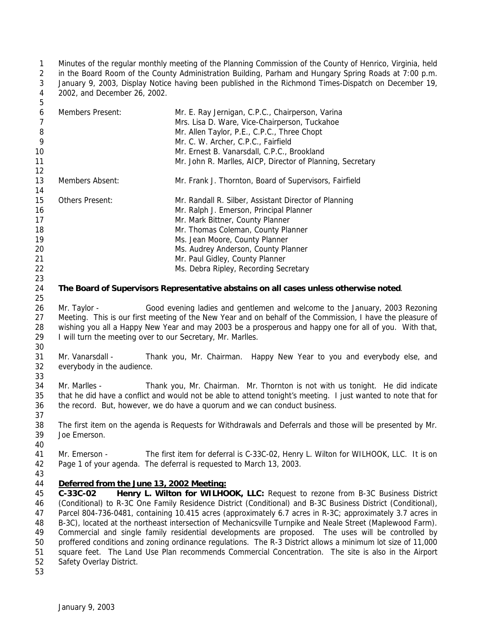Minutes of the regular monthly meeting of the Planning Commission of the County of Henrico, Virginia, held in the Board Room of the County Administration Building, Parham and Hungary Spring Roads at 7:00 p.m. January 9, 2003, Display Notice having been published in the Richmond Times-Dispatch on December 19, 2002, and December 26, 2002.

| 6  | Members Present:       | Mr. E. Ray Jernigan, C.P.C., Chairperson, Varina<br>Mrs. Lisa D. Ware, Vice-Chairperson, Tuckahoe |
|----|------------------------|---------------------------------------------------------------------------------------------------|
| 8  |                        | Mr. Allen Taylor, P.E., C.P.C., Three Chopt                                                       |
| 9  |                        | Mr. C. W. Archer, C.P.C., Fairfield                                                               |
| 10 |                        | Mr. Ernest B. Vanarsdall, C.P.C., Brookland                                                       |
| 11 |                        | Mr. John R. Marlles, AICP, Director of Planning, Secretary                                        |
| 12 |                        |                                                                                                   |
| 13 | Members Absent:        | Mr. Frank J. Thornton, Board of Supervisors, Fairfield                                            |
| 14 |                        |                                                                                                   |
| 15 | <b>Others Present:</b> | Mr. Randall R. Silber, Assistant Director of Planning                                             |
| 16 |                        | Mr. Ralph J. Emerson, Principal Planner                                                           |
| 17 |                        | Mr. Mark Bittner, County Planner                                                                  |
| 18 |                        | Mr. Thomas Coleman, County Planner                                                                |
| 19 |                        | Ms. Jean Moore, County Planner                                                                    |
| 20 |                        | Ms. Audrey Anderson, County Planner                                                               |
| 21 |                        | Mr. Paul Gidley, County Planner                                                                   |
| 22 |                        | Ms. Debra Ripley, Recording Secretary                                                             |

## **The Board of Supervisors Representative abstains on all cases unless otherwise noted**.

 Mr. Taylor - Good evening ladies and gentlemen and welcome to the January, 2003 Rezoning Meeting. This is our first meeting of the New Year and on behalf of the Commission, I have the pleasure of wishing you all a Happy New Year and may 2003 be a prosperous and happy one for all of you. With that, I will turn the meeting over to our Secretary, Mr. Marlles. 

 Mr. Vanarsdall - Thank you, Mr. Chairman. Happy New Year to you and everybody else, and everybody in the audience. 

 Mr. Marlles - Thank you, Mr. Chairman. Mr. Thornton is not with us tonight. He did indicate that he did have a conflict and would not be able to attend tonight's meeting. I just wanted to note that for the record. But, however, we do have a quorum and we can conduct business. 

 The first item on the agenda is Requests for Withdrawals and Deferrals and those will be presented by Mr. Joe Emerson.

 Mr. Emerson - The first item for deferral is C-33C-02, Henry L. Wilton for WILHOOK, LLC. It is on Page 1 of your agenda. The deferral is requested to March 13, 2003.

## *Deferred from the June 13, 2002 Meeting:*

 **C-33C-02 Henry L. Wilton for WILHOOK, LLC:** Request to rezone from B-3C Business District (Conditional) to R-3C One Family Residence District (Conditional) and B-3C Business District (Conditional), Parcel 804-736-0481, containing 10.415 acres (approximately 6.7 acres in R-3C; approximately 3.7 acres in B-3C), located at the northeast intersection of Mechanicsville Turnpike and Neale Street (Maplewood Farm). Commercial and single family residential developments are proposed. The uses will be controlled by proffered conditions and zoning ordinance regulations. The R-3 District allows a minimum lot size of 11,000 square feet. The Land Use Plan recommends Commercial Concentration. The site is also in the Airport Safety Overlay District.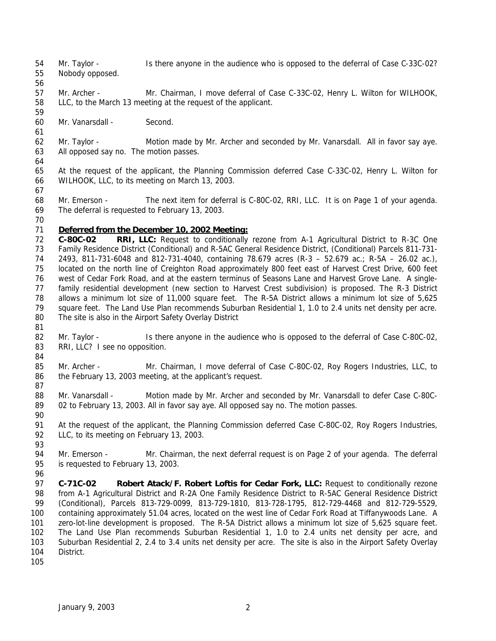- Mr. Taylor Is there anyone in the audience who is opposed to the deferral of Case C-33C-02? Nobody opposed.
- 

- Mr. Archer Mr. Chairman, I move deferral of Case C-33C-02, Henry L. Wilton for WILHOOK, LLC, to the March 13 meeting at the request of the applicant.
- Mr. Vanarsdall Second.
- Mr. Taylor Motion made by Mr. Archer and seconded by Mr. Vanarsdall. All in favor say aye. All opposed say no. The motion passes.
- At the request of the applicant, the Planning Commission deferred Case C-33C-02, Henry L. Wilton for WILHOOK, LLC, to its meeting on March 13, 2003.
- 
- Mr. Emerson The next item for deferral is C-80C-02, RRI, LLC. It is on Page 1 of your agenda. The deferral is requested to February 13, 2003.
- 

## *Deferred from the December 10, 2002 Meeting:*

- **C-80C-02 RRI, LLC:** Request to conditionally rezone from A-1 Agricultural District to R-3C One Family Residence District (Conditional) and R-5AC General Residence District, (Conditional) Parcels 811-731- 2493, 811-731-6048 and 812-731-4040, containing 78.679 acres (R-3 – 52.679 ac.; R-5A – 26.02 ac.), located on the north line of Creighton Road approximately 800 feet east of Harvest Crest Drive, 600 feet west of Cedar Fork Road, and at the eastern terminus of Seasons Lane and Harvest Grove Lane. A single- family residential development (new section to Harvest Crest subdivision) is proposed. The R-3 District allows a minimum lot size of 11,000 square feet. The R-5A District allows a minimum lot size of 5,625 square feet. The Land Use Plan recommends Suburban Residential 1, 1.0 to 2.4 units net density per acre. The site is also in the Airport Safety Overlay District
- 
- 82 Mr. Taylor Is there anyone in the audience who is opposed to the deferral of Case C-80C-02, 83 RRI, LLC? I see no opposition.
- Mr. Archer Mr. Chairman, I move deferral of Case C-80C-02, Roy Rogers Industries, LLC, to 86 the February 13, 2003 meeting, at the applicant's request.
- 88 Mr. Vanarsdall Motion made by Mr. Archer and seconded by Mr. Vanarsdall to defer Case C-80C- 02 to February 13, 2003. All in favor say aye. All opposed say no. The motion passes.
- At the request of the applicant, the Planning Commission deferred Case C-80C-02, Roy Rogers Industries, 92 LLC, to its meeting on February 13, 2003.
- 

- 94 Mr. Emerson Mr. Chairman, the next deferral request is on Page 2 of your agenda. The deferral is requested to February 13, 2003.
- **C-71C-02 Robert Atack/F. Robert Loftis for Cedar Fork, LLC:** Request to conditionally rezone from A-1 Agricultural District and R-2A One Family Residence District to R-5AC General Residence District (Conditional), Parcels 813-729-0099, 813-729-1810, 813-728-1795, 812-729-4468 and 812-729-5529, containing approximately 51.04 acres, located on the west line of Cedar Fork Road at Tiffanywoods Lane. A zero-lot-line development is proposed. The R-5A District allows a minimum lot size of 5,625 square feet. The Land Use Plan recommends Suburban Residential 1, 1.0 to 2.4 units net density per acre, and Suburban Residential 2, 2.4 to 3.4 units net density per acre. The site is also in the Airport Safety Overlay District.
-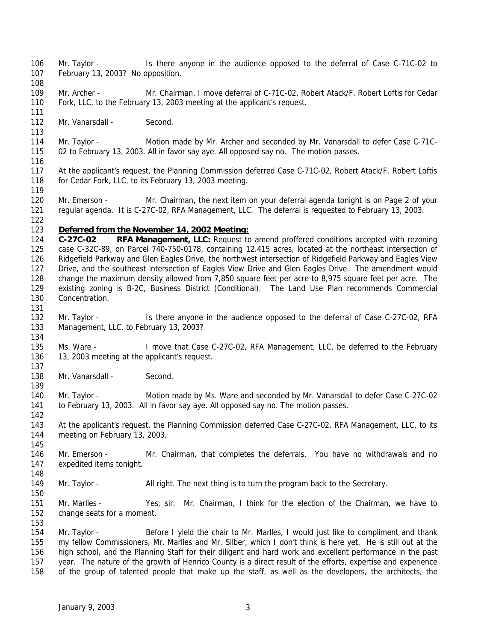- Mr. Taylor Is there anyone in the audience opposed to the deferral of Case C-71C-02 to February 13, 2003? No opposition.
- 109 Mr. Archer - Mr. Chairman, I move deferral of C-71C-02, Robert Atack/F. Robert Loftis for Cedar Fork, LLC, to the February 13, 2003 meeting at the applicant's request.
- 112 Mr. Vanarsdall - Second.

- Mr. Taylor Motion made by Mr. Archer and seconded by Mr. Vanarsdall to defer Case C-71C-02 to February 13, 2003. All in favor say aye. All opposed say no. The motion passes.
- At the applicant's request, the Planning Commission deferred Case C-71C-02, Robert Atack/F. Robert Loftis for Cedar Fork, LLC, to its February 13, 2003 meeting.
- 120 Mr. Emerson Mr. Chairman, the next item on your deferral agenda tonight is on Page 2 of your regular agenda. It is C-27C-02, RFA Management, LLC. The deferral is requested to February 13, 2003.
- *Deferred from the November 14, 2002 Meeting:*
- **C-27C-02 RFA Management, LLC:** Request to amend proffered conditions accepted with rezoning case C-32C-89, on Parcel 740-750-0178, containing 12.415 acres, located at the northeast intersection of Ridgefield Parkway and Glen Eagles Drive, the northwest intersection of Ridgefield Parkway and Eagles View Drive, and the southeast intersection of Eagles View Drive and Glen Eagles Drive. The amendment would change the maximum density allowed from 7,850 square feet per acre to 8,975 square feet per acre. The existing zoning is B-2C, Business District (Conditional). The Land Use Plan recommends Commercial Concentration.
- Mr. Taylor - Is there anyone in the audience opposed to the deferral of Case C-27C-02, RFA Management, LLC, to February 13, 2003?
- 135 Ms. Ware I move that Case C-27C-02, RFA Management, LLC, be deferred to the February 13, 2003 meeting at the applicant's request.
- 138 Mr. Vanarsdall - Second.
- 140 Mr. Taylor Motion made by Ms. Ware and seconded by Mr. Vanarsdall to defer Case C-27C-02 to February 13, 2003. All in favor say aye. All opposed say no. The motion passes.
- 143 At the applicant's request, the Planning Commission deferred Case C-27C-02, RFA Management, LLC, to its meeting on February 13, 2003.
- 146 Mr. Emerson Mr. Chairman, that completes the deferrals. You have no withdrawals and no expedited items tonight.
- Mr. Taylor All right. The next thing is to turn the program back to the Secretary.
- Mr. Marlles Yes, sir. Mr. Chairman, I think for the election of the Chairman, we have to change seats for a moment.
- 154 Mr. Taylor - Before I yield the chair to Mr. Marlles, I would just like to compliment and thank my fellow Commissioners, Mr. Marlles and Mr. Silber, which I don't think is here yet. He is still out at the high school, and the Planning Staff for their diligent and hard work and excellent performance in the past year. The nature of the growth of Henrico County is a direct result of the efforts, expertise and experience of the group of talented people that make up the staff, as well as the developers, the architects, the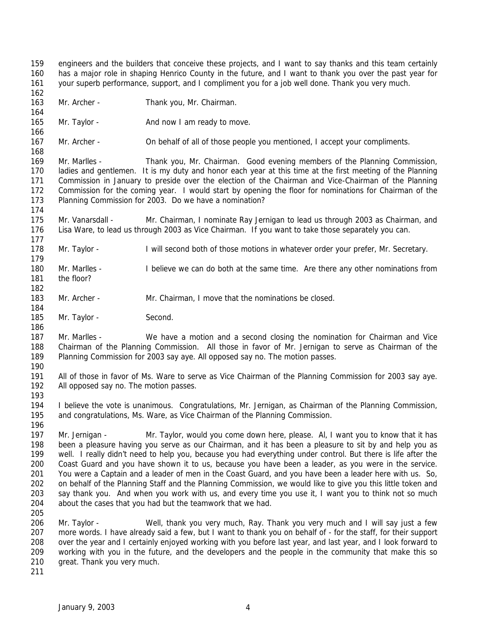engineers and the builders that conceive these projects, and I want to say thanks and this team certainly has a major role in shaping Henrico County in the future, and I want to thank you over the past year for your superb performance, support, and I compliment you for a job well done. Thank you very much. 

- Mr. Archer Thank you, Mr. Chairman.
- 165 Mr. Taylor And now I am ready to move.

Mr. Archer - On behalf of all of those people you mentioned, I accept your compliments.

 Mr. Marlles - Thank you, Mr. Chairman. Good evening members of the Planning Commission, ladies and gentlemen. It is my duty and honor each year at this time at the first meeting of the Planning Commission in January to preside over the election of the Chairman and Vice-Chairman of the Planning Commission for the coming year. I would start by opening the floor for nominations for Chairman of the Planning Commission for 2003. Do we have a nomination?

 Mr. Vanarsdall - Mr. Chairman, I nominate Ray Jernigan to lead us through 2003 as Chairman, and Lisa Ware, to lead us through 2003 as Vice Chairman. If you want to take those separately you can.

- 178 Mr. Taylor I will second both of those motions in whatever order your prefer, Mr. Secretary.
- Mr. Marlles I believe we can do both at the same time. Are there any other nominations from the floor?
- 183 Mr. Archer Mr. Chairman, I move that the nominations be closed.
- 185 Mr. Taylor Second.

 Mr. Marlles - We have a motion and a second closing the nomination for Chairman and Vice Chairman of the Planning Commission. All those in favor of Mr. Jernigan to serve as Chairman of the Planning Commission for 2003 say aye. All opposed say no. The motion passes. 

- All of those in favor of Ms. Ware to serve as Vice Chairman of the Planning Commission for 2003 say aye. All opposed say no. The motion passes.
- I believe the vote is unanimous. Congratulations, Mr. Jernigan, as Chairman of the Planning Commission, and congratulations, Ms. Ware, as Vice Chairman of the Planning Commission.

 Mr. Jernigan - Mr. Taylor, would you come down here, please. Al, I want you to know that it has been a pleasure having you serve as our Chairman, and it has been a pleasure to sit by and help you as well. I really didn't need to help you, because you had everything under control. But there is life after the Coast Guard and you have shown it to us, because you have been a leader, as you were in the service. You were a Captain and a leader of men in the Coast Guard, and you have been a leader here with us. So, on behalf of the Planning Staff and the Planning Commission, we would like to give you this little token and say thank you. And when you work with us, and every time you use it, I want you to think not so much about the cases that you had but the teamwork that we had. 

- Mr. Taylor Well, thank you very much, Ray. Thank you very much and I will say just a few more words. I have already said a few, but I want to thank you on behalf of - for the staff, for their support over the year and I certainly enjoyed working with you before last year, and last year, and I look forward to working with you in the future, and the developers and the people in the community that make this so great. Thank you very much.
-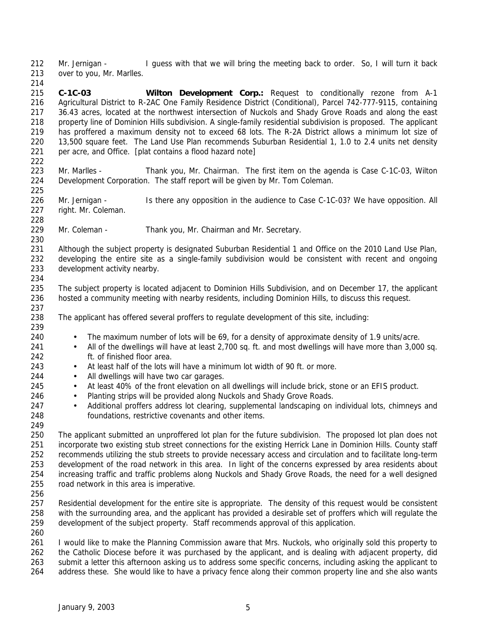Mr. Jernigan - I guess with that we will bring the meeting back to order. So, I will turn it back over to you, Mr. Marlles.

- **C-1C-03 Wilton Development Corp.:** Request to conditionally rezone from A-1 Agricultural District to R-2AC One Family Residence District (Conditional), Parcel 742-777-9115, containing 36.43 acres, located at the northwest intersection of Nuckols and Shady Grove Roads and along the east property line of Dominion Hills subdivision. A single-family residential subdivision is proposed. The applicant has proffered a maximum density not to exceed 68 lots. The R-2A District allows a minimum lot size of 13,500 square feet. The Land Use Plan recommends Suburban Residential 1, 1.0 to 2.4 units net density per acre, and Office. [plat contains a flood hazard note]
- 223 Mr. Marlles Thank you, Mr. Chairman. The first item on the agenda is Case C-1C-03, Wilton Development Corporation. The staff report will be given by Mr. Tom Coleman.
- 226 Mr. Jernigan Is there any opposition in the audience to Case C-1C-03? We have opposition. All right. Mr. Coleman.
- 229 Mr. Coleman Thank you, Mr. Chairman and Mr. Secretary.
- 

 Although the subject property is designated Suburban Residential 1 and Office on the 2010 Land Use Plan, developing the entire site as a single-family subdivision would be consistent with recent and ongoing development activity nearby.

 The subject property is located adjacent to Dominion Hills Subdivision, and on December 17, the applicant hosted a community meeting with nearby residents, including Dominion Hills, to discuss this request.

- The applicant has offered several proffers to regulate development of this site, including:
- The maximum number of lots will be 69, for a density of approximate density of 1.9 units/acre.
- 241 All of the dwellings will have at least 2,700 sq. ft. and most dwellings will have more than 3,000 sq. ft. of finished floor area.
- At least half of the lots will have a minimum lot width of 90 ft. or more.
- 244 All dwellings will have two car garages.
- 245 At least 40% of the front elevation on all dwellings will include brick, stone or an EFIS product.
- 246 Planting strips will be provided along Nuckols and Shady Grove Roads.
- 247 Additional proffers address lot clearing, supplemental landscaping on individual lots, chimneys and foundations, restrictive covenants and other items.

 The applicant submitted an unproffered lot plan for the future subdivision. The proposed lot plan does not incorporate two existing stub street connections for the existing Herrick Lane in Dominion Hills. County staff recommends utilizing the stub streets to provide necessary access and circulation and to facilitate long-term development of the road network in this area. In light of the concerns expressed by area residents about increasing traffic and traffic problems along Nuckols and Shady Grove Roads, the need for a well designed road network in this area is imperative.

 Residential development for the entire site is appropriate. The density of this request would be consistent with the surrounding area, and the applicant has provided a desirable set of proffers which will regulate the development of the subject property. Staff recommends approval of this application.

 I would like to make the Planning Commission aware that Mrs. Nuckols, who originally sold this property to the Catholic Diocese before it was purchased by the applicant, and is dealing with adjacent property, did submit a letter this afternoon asking us to address some specific concerns, including asking the applicant to address these. She would like to have a privacy fence along their common property line and she also wants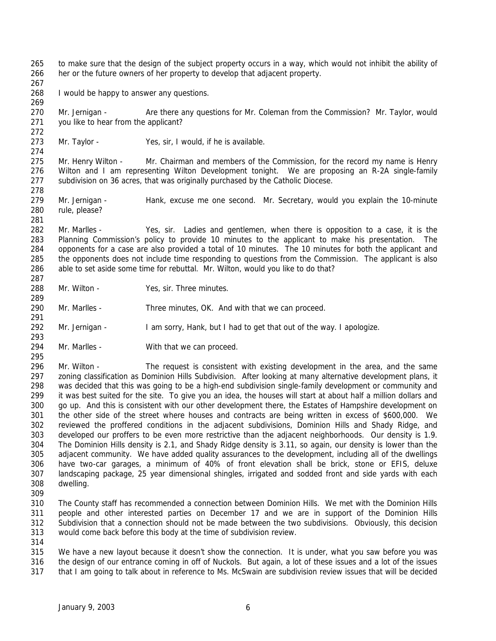to make sure that the design of the subject property occurs in a way, which would not inhibit the ability of her or the future owners of her property to develop that adjacent property.

268 I would be happy to answer any questions.

270 Mr. Jernigan - Are there any questions for Mr. Coleman from the Commission? Mr. Taylor, would you like to hear from the applicant?

Mr. Taylor - Yes, sir, I would, if he is available.

275 Mr. Henry Wilton - Mr. Chairman and members of the Commission, for the record my name is Henry Wilton and I am representing Wilton Development tonight. We are proposing an R-2A single-family subdivision on 36 acres, that was originally purchased by the Catholic Diocese.

279 Mr. Jernigan - Hank, excuse me one second. Mr. Secretary, would you explain the 10-minute rule, please?

 Mr. Marlles - Yes, sir. Ladies and gentlemen, when there is opposition to a case, it is the Planning Commission's policy to provide 10 minutes to the applicant to make his presentation. The opponents for a case are also provided a total of 10 minutes. The 10 minutes for both the applicant and the opponents does not include time responding to questions from the Commission. The applicant is also able to set aside some time for rebuttal. Mr. Wilton, would you like to do that?

Mr. Wilton - Yes, sir. Three minutes.

Mr. Marlles - Three minutes, OK. And with that we can proceed.

Mr. Jernigan - I am sorry, Hank, but I had to get that out of the way. I apologize.

294 Mr. Marlles - With that we can proceed.

 Mr. Wilton - The request is consistent with existing development in the area, and the same zoning classification as Dominion Hills Subdivision. After looking at many alternative development plans, it was decided that this was going to be a high-end subdivision single-family development or community and it was best suited for the site. To give you an idea, the houses will start at about half a million dollars and go up. And this is consistent with our other development there, the Estates of Hampshire development on the other side of the street where houses and contracts are being written in excess of \$600,000. We reviewed the proffered conditions in the adjacent subdivisions, Dominion Hills and Shady Ridge, and developed our proffers to be even more restrictive than the adjacent neighborhoods. Our density is 1.9. The Dominion Hills density is 2.1, and Shady Ridge density is 3.11, so again, our density is lower than the adjacent community. We have added quality assurances to the development, including all of the dwellings have two-car garages, a minimum of 40% of front elevation shall be brick, stone or EFIS, deluxe landscaping package, 25 year dimensional shingles, irrigated and sodded front and side yards with each dwelling.

 The County staff has recommended a connection between Dominion Hills. We met with the Dominion Hills people and other interested parties on December 17 and we are in support of the Dominion Hills Subdivision that a connection should not be made between the two subdivisions. Obviously, this decision would come back before this body at the time of subdivision review.

 We have a new layout because it doesn't show the connection. It is under, what you saw before you was the design of our entrance coming in off of Nuckols. But again, a lot of these issues and a lot of the issues that I am going to talk about in reference to Ms. McSwain are subdivision review issues that will be decided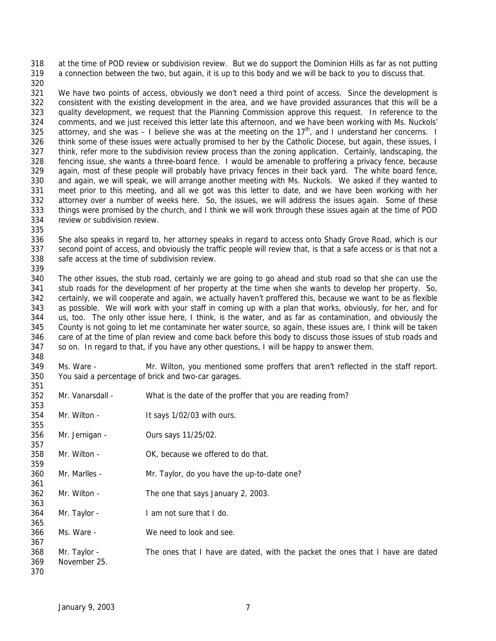at the time of POD review or subdivision review. But we do support the Dominion Hills as far as not putting a connection between the two, but again, it is up to this body and we will be back to you to discuss that.

 We have two points of access, obviously we don't need a third point of access. Since the development is consistent with the existing development in the area, and we have provided assurances that this will be a quality development, we request that the Planning Commission approve this request. In reference to the comments, and we just received this letter late this afternoon, and we have been working with Ms. Nuckols' 325 attorney, and she was  $-1$  believe she was at the meeting on the 17<sup>th</sup>, and I understand her concerns. I 326 think some of these issues were actually promised to her by the Catholic Diocese, but again, these issues, I think, refer more to the subdivision review process than the zoning application. Certainly, landscaping, the fencing issue, she wants a three-board fence. I would be amenable to proffering a privacy fence, because 329 again, most of these people will probably have privacy fences in their back yard. The white board fence, and again, we will speak, we will arrange another meeting with Ms. Nuckols. We asked if they wanted to meet prior to this meeting, and all we got was this letter to date, and we have been working with her attorney over a number of weeks here. So, the issues, we will address the issues again. Some of these things were promised by the church, and I think we will work through these issues again at the time of POD review or subdivision review.

 She also speaks in regard to, her attorney speaks in regard to access onto Shady Grove Road, which is our second point of access, and obviously the traffic people will review that, is that a safe access or is that not a safe access at the time of subdivision review.

 The other issues, the stub road, certainly we are going to go ahead and stub road so that she can use the stub roads for the development of her property at the time when she wants to develop her property. So, certainly, we will cooperate and again, we actually haven't proffered this, because we want to be as flexible as possible. We will work with your staff in coming up with a plan that works, obviously, for her, and for us, too. The only other issue here, I think, is the water, and as far as contamination, and obviously the County is not going to let me contaminate her water source, so again, these issues are, I think will be taken care of at the time of plan review and come back before this body to discuss those issues of stub roads and so on. In regard to that, if you have any other questions, I will be happy to answer them. 

 Ms. Ware - Mr. Wilton, you mentioned some proffers that aren't reflected in the staff report. You said a percentage of brick and two-car garages. 

| 352 | Mr. Vanarsdall - | What is the date of the proffer that you are reading from?                     |
|-----|------------------|--------------------------------------------------------------------------------|
| 353 |                  |                                                                                |
| 354 | Mr. Wilton -     | It says 1/02/03 with ours.                                                     |
| 355 |                  |                                                                                |
| 356 | Mr. Jernigan -   | Ours says 11/25/02.                                                            |
| 357 |                  |                                                                                |
| 358 | Mr. Wilton -     | OK, because we offered to do that.                                             |
| 359 |                  |                                                                                |
| 360 | Mr. Marlles -    | Mr. Taylor, do you have the up-to-date one?                                    |
| 361 |                  |                                                                                |
| 362 | Mr. Wilton -     | The one that says January 2, 2003.                                             |
| 363 |                  |                                                                                |
| 364 | Mr. Taylor -     | I am not sure that I do.                                                       |
| 365 |                  |                                                                                |
| 366 | Ms. Ware -       | We need to look and see.                                                       |
| 367 |                  |                                                                                |
| 368 | Mr. Taylor -     | The ones that I have are dated, with the packet the ones that I have are dated |
| 369 | November 25.     |                                                                                |
| 370 |                  |                                                                                |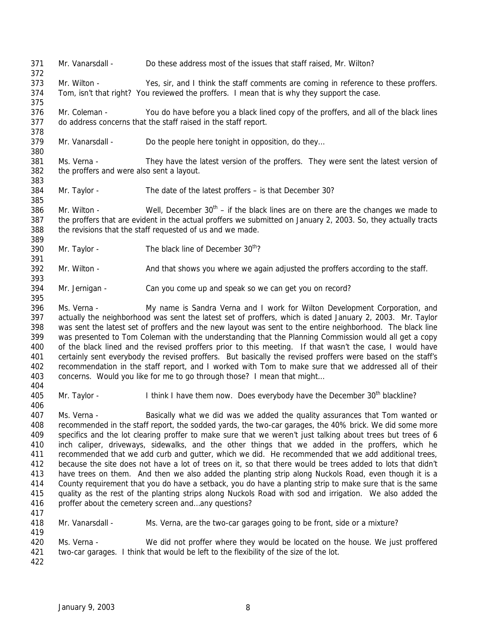Mr. Vanarsdall - Do these address most of the issues that staff raised, Mr. Wilton? Mr. Wilton - Yes, sir, and I think the staff comments are coming in reference to these proffers. Tom, isn't that right? You reviewed the proffers. I mean that is why they support the case. Mr. Coleman - You do have before you a black lined copy of the proffers, and all of the black lines do address concerns that the staff raised in the staff report. 379 Mr. Vanarsdall - Do the people here tonight in opposition, do they... Ms. Verna - They have the latest version of the proffers. They were sent the latest version of the proffers and were also sent a layout. Mr. Taylor - The date of the latest proffers – is that December 30? 386 Mr. Wilton - Well, December  $30<sup>th</sup> -$  if the black lines are on there are the changes we made to the proffers that are evident in the actual proffers we submitted on January 2, 2003. So, they actually tracts the revisions that the staff requested of us and we made. 390 Mr. Taylor - The black line of December  $30<sup>th</sup>$ ? Mr. Wilton - And that shows you where we again adjusted the proffers according to the staff. Mr. Jernigan - Can you come up and speak so we can get you on record? Ms. Verna - My name is Sandra Verna and I work for Wilton Development Corporation, and actually the neighborhood was sent the latest set of proffers, which is dated January 2, 2003. Mr. Taylor was sent the latest set of proffers and the new layout was sent to the entire neighborhood. The black line was presented to Tom Coleman with the understanding that the Planning Commission would all get a copy of the black lined and the revised proffers prior to this meeting. If that wasn't the case, I would have certainly sent everybody the revised proffers. But basically the revised proffers were based on the staff's recommendation in the staff report, and I worked with Tom to make sure that we addressed all of their concerns. Would you like for me to go through those? I mean that might… 405 Mr. Taylor - I think I have them now. Does everybody have the December 30<sup>th</sup> blackline? Ms. Verna - Basically what we did was we added the quality assurances that Tom wanted or recommended in the staff report, the sodded yards, the two-car garages, the 40% brick. We did some more specifics and the lot clearing proffer to make sure that we weren't just talking about trees but trees of 6 inch caliper, driveways, sidewalks, and the other things that we added in the proffers, which he recommended that we add curb and gutter, which we did. He recommended that we add additional trees, because the site does not have a lot of trees on it, so that there would be trees added to lots that didn't have trees on them. And then we also added the planting strip along Nuckols Road, even though it is a County requirement that you do have a setback, you do have a planting strip to make sure that is the same quality as the rest of the planting strips along Nuckols Road with sod and irrigation. We also added the 416 proffer about the cemetery screen and...any questions? Mr. Vanarsdall - Ms. Verna, are the two-car garages going to be front, side or a mixture? Ms. Verna - We did not proffer where they would be located on the house. We just proffered two-car garages. I think that would be left to the flexibility of the size of the lot.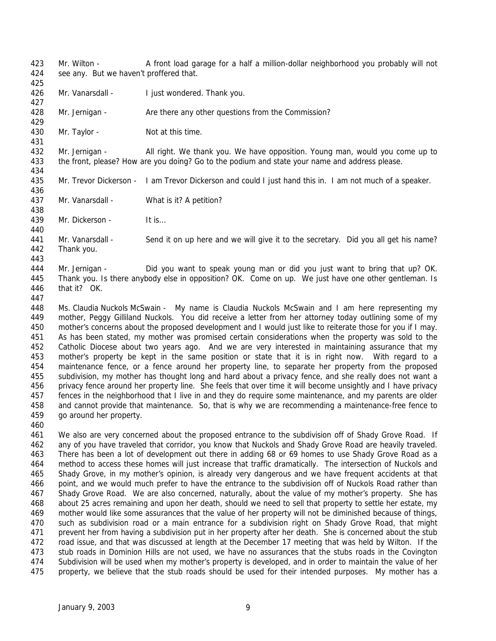Mr. Wilton - A front load garage for a half a million-dollar neighborhood you probably will not 424 see any. But we haven't proffered that.

- 426 Mr. Vanarsdall I just wondered. Thank you.
- 428 Mr. Jernigan Are there any other questions from the Commission?
- 430 Mr. Taylor Not at this time.

 Mr. Jernigan - All right. We thank you. We have opposition. Young man, would you come up to the front, please? How are you doing? Go to the podium and state your name and address please.

- 435 Mr. Trevor Dickerson I am Trevor Dickerson and could I just hand this in. I am not much of a speaker.
- 437 Mr. Vanarsdall What is it? A petition?
- 439 Mr. Dickerson It is...

 Mr. Vanarsdall - Send it on up here and we will give it to the secretary. Did you all get his name? Thank you.

 Mr. Jernigan - Did you want to speak young man or did you just want to bring that up? OK. Thank you. Is there anybody else in opposition? OK. Come on up. We just have one other gentleman. Is that it? OK.

 Ms. Claudia Nuckols McSwain - My name is Claudia Nuckols McSwain and I am here representing my mother, Peggy Gilliland Nuckols. You did receive a letter from her attorney today outlining some of my mother's concerns about the proposed development and I would just like to reiterate those for you if I may. As has been stated, my mother was promised certain considerations when the property was sold to the Catholic Diocese about two years ago. And we are very interested in maintaining assurance that my mother's property be kept in the same position or state that it is in right now. With regard to a maintenance fence, or a fence around her property line, to separate her property from the proposed subdivision, my mother has thought long and hard about a privacy fence, and she really does not want a privacy fence around her property line. She feels that over time it will become unsightly and I have privacy fences in the neighborhood that I live in and they do require some maintenance, and my parents are older and cannot provide that maintenance. So, that is why we are recommending a maintenance-free fence to go around her property.

 We also are very concerned about the proposed entrance to the subdivision off of Shady Grove Road. If any of you have traveled that corridor, you know that Nuckols and Shady Grove Road are heavily traveled. There has been a lot of development out there in adding 68 or 69 homes to use Shady Grove Road as a method to access these homes will just increase that traffic dramatically. The intersection of Nuckols and Shady Grove, in my mother's opinion, is already very dangerous and we have frequent accidents at that point, and we would much prefer to have the entrance to the subdivision off of Nuckols Road rather than Shady Grove Road. We are also concerned, naturally, about the value of my mother's property. She has about 25 acres remaining and upon her death, should we need to sell that property to settle her estate, my mother would like some assurances that the value of her property will not be diminished because of things, such as subdivision road or a main entrance for a subdivision right on Shady Grove Road, that might prevent her from having a subdivision put in her property after her death. She is concerned about the stub road issue, and that was discussed at length at the December 17 meeting that was held by Wilton. If the 473 stub roads in Dominion Hills are not used, we have no assurances that the stubs roads in the Covington Subdivision will be used when my mother's property is developed, and in order to maintain the value of her property, we believe that the stub roads should be used for their intended purposes. My mother has a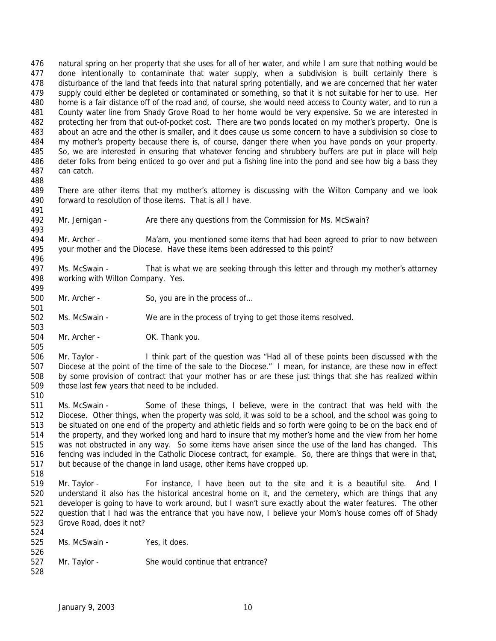natural spring on her property that she uses for all of her water, and while I am sure that nothing would be done intentionally to contaminate that water supply, when a subdivision is built certainly there is disturbance of the land that feeds into that natural spring potentially, and we are concerned that her water 479 supply could either be depleted or contaminated or something, so that it is not suitable for her to use. Her home is a fair distance off of the road and, of course, she would need access to County water, and to run a County water line from Shady Grove Road to her home would be very expensive. So we are interested in protecting her from that out-of-pocket cost. There are two ponds located on my mother's property. One is about an acre and the other is smaller, and it does cause us some concern to have a subdivision so close to my mother's property because there is, of course, danger there when you have ponds on your property. So, we are interested in ensuring that whatever fencing and shrubbery buffers are put in place will help deter folks from being enticed to go over and put a fishing line into the pond and see how big a bass they can catch.

 There are other items that my mother's attorney is discussing with the Wilton Company and we look 490 forward to resolution of those items. That is all I have.

 

Mr. Jernigan - Are there any questions from the Commission for Ms. McSwain?

 Mr. Archer - Ma'am, you mentioned some items that had been agreed to prior to now between your mother and the Diocese. Have these items been addressed to this point? 

 Ms. McSwain - That is what we are seeking through this letter and through my mother's attorney working with Wilton Company. Yes.

500 Mr. Archer - So, you are in the process of...

Ms. McSwain - We are in the process of trying to get those items resolved.

504 Mr. Archer - OK. Thank you.

 Mr. Taylor - I think part of the question was "Had all of these points been discussed with the Diocese at the point of the time of the sale to the Diocese." I mean, for instance, are these now in effect by some provision of contract that your mother has or are these just things that she has realized within those last few years that need to be included.

 Ms. McSwain - Some of these things, I believe, were in the contract that was held with the Diocese. Other things, when the property was sold, it was sold to be a school, and the school was going to be situated on one end of the property and athletic fields and so forth were going to be on the back end of the property, and they worked long and hard to insure that my mother's home and the view from her home was not obstructed in any way. So some items have arisen since the use of the land has changed. This fencing was included in the Catholic Diocese contract, for example. So, there are things that were in that, but because of the change in land usage, other items have cropped up.

 Mr. Taylor - For instance, I have been out to the site and it is a beautiful site. And I understand it also has the historical ancestral home on it, and the cemetery, which are things that any developer is going to have to work around, but I wasn't sure exactly about the water features. The other question that I had was the entrance that you have now, I believe your Mom's house comes off of Shady Grove Road, does it not?

| 524 |               |                                   |
|-----|---------------|-----------------------------------|
| 525 | Ms. McSwain - | Yes, it does.                     |
| 526 |               |                                   |
| 527 | Mr. Taylor -  | She would continue that entrance? |
| 528 |               |                                   |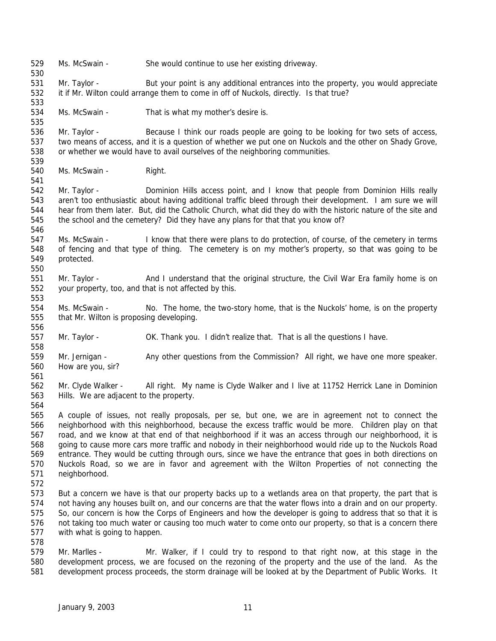Ms. McSwain - She would continue to use her existing driveway. Mr. Taylor - But your point is any additional entrances into the property, you would appreciate it if Mr. Wilton could arrange them to come in off of Nuckols, directly. Is that true? Ms. McSwain - That is what my mother's desire is. Mr. Taylor - Because I think our roads people are going to be looking for two sets of access, two means of access, and it is a question of whether we put one on Nuckols and the other on Shady Grove, or whether we would have to avail ourselves of the neighboring communities. 540 Ms. McSwain - Right. 542 Mr. Taylor - Dominion Hills access point, and I know that people from Dominion Hills really aren't too enthusiastic about having additional traffic bleed through their development. I am sure we will hear from them later. But, did the Catholic Church, what did they do with the historic nature of the site and the school and the cemetery? Did they have any plans for that that you know of? Ms. McSwain - I know that there were plans to do protection, of course, of the cemetery in terms of fencing and that type of thing. The cemetery is on my mother's property, so that was going to be protected. Mr. Taylor - And I understand that the original structure, the Civil War Era family home is on your property, too, and that is not affected by this. Ms. McSwain - No. The home, the two-story home, that is the Nuckols' home, is on the property that Mr. Wilton is proposing developing. Mr. Taylor - OK. Thank you. I didn't realize that. That is all the questions I have. 559 Mr. Jernigan - Any other questions from the Commission? All right, we have one more speaker. How are you, sir? Mr. Clyde Walker - All right. My name is Clyde Walker and I live at 11752 Herrick Lane in Dominion Hills. We are adjacent to the property. A couple of issues, not really proposals, per se, but one, we are in agreement not to connect the neighborhood with this neighborhood, because the excess traffic would be more. Children play on that road, and we know at that end of that neighborhood if it was an access through our neighborhood, it is going to cause more cars more traffic and nobody in their neighborhood would ride up to the Nuckols Road entrance. They would be cutting through ours, since we have the entrance that goes in both directions on Nuckols Road, so we are in favor and agreement with the Wilton Properties of not connecting the neighborhood. But a concern we have is that our property backs up to a wetlands area on that property, the part that is not having any houses built on, and our concerns are that the water flows into a drain and on our property. So, our concern is how the Corps of Engineers and how the developer is going to address that so that it is not taking too much water or causing too much water to come onto our property, so that is a concern there with what is going to happen. Mr. Marlles - Mr. Walker, if I could try to respond to that right now, at this stage in the development process, we are focused on the rezoning of the property and the use of the land. As the development process proceeds, the storm drainage will be looked at by the Department of Public Works. It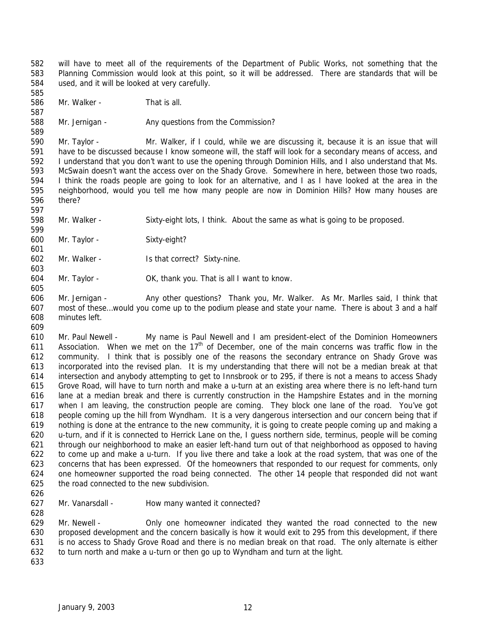will have to meet all of the requirements of the Department of Public Works, not something that the Planning Commission would look at this point, so it will be addressed. There are standards that will be used, and it will be looked at very carefully. 

Mr. Walker - That is all.

588 Mr. Jernigan - Any questions from the Commission?

 Mr. Taylor - Mr. Walker, if I could, while we are discussing it, because it is an issue that will have to be discussed because I know someone will, the staff will look for a secondary means of access, and I understand that you don't want to use the opening through Dominion Hills, and I also understand that Ms. McSwain doesn't want the access over on the Shady Grove. Somewhere in here, between those two roads, I think the roads people are going to look for an alternative, and I as I have looked at the area in the neighborhood, would you tell me how many people are now in Dominion Hills? How many houses are there?

Mr. Walker - Sixty-eight lots, I think. About the same as what is going to be proposed.

Mr. Taylor - Sixty-eight?

Mr. Walker - Is that correct? Sixty-nine.

Mr. Taylor - OK, thank you. That is all I want to know.

 Mr. Jernigan - Any other questions? Thank you, Mr. Walker. As Mr. Marlles said, I think that most of these…would you come up to the podium please and state your name. There is about 3 and a half minutes left.

 Mr. Paul Newell - My name is Paul Newell and I am president-elect of the Dominion Homeowners 611 Association. When we met on the  $17<sup>th</sup>$  of December, one of the main concerns was traffic flow in the community. I think that is possibly one of the reasons the secondary entrance on Shady Grove was incorporated into the revised plan. It is my understanding that there will not be a median break at that intersection and anybody attempting to get to Innsbrook or to 295, if there is not a means to access Shady Grove Road, will have to turn north and make a u-turn at an existing area where there is no left-hand turn lane at a median break and there is currently construction in the Hampshire Estates and in the morning when I am leaving, the construction people are coming. They block one lane of the road. You've got people coming up the hill from Wyndham. It is a very dangerous intersection and our concern being that if nothing is done at the entrance to the new community, it is going to create people coming up and making a u-turn, and if it is connected to Herrick Lane on the, I guess northern side, terminus, people will be coming through our neighborhood to make an easier left-hand turn out of that neighborhood as opposed to having to come up and make a u-turn. If you live there and take a look at the road system, that was one of the concerns that has been expressed. Of the homeowners that responded to our request for comments, only one homeowner supported the road being connected. The other 14 people that responded did not want the road connected to the new subdivision.

627 Mr. Vanarsdall - How many wanted it connected? 

 Mr. Newell - Only one homeowner indicated they wanted the road connected to the new proposed development and the concern basically is how it would exit to 295 from this development, if there is no access to Shady Grove Road and there is no median break on that road. The only alternate is either to turn north and make a u-turn or then go up to Wyndham and turn at the light.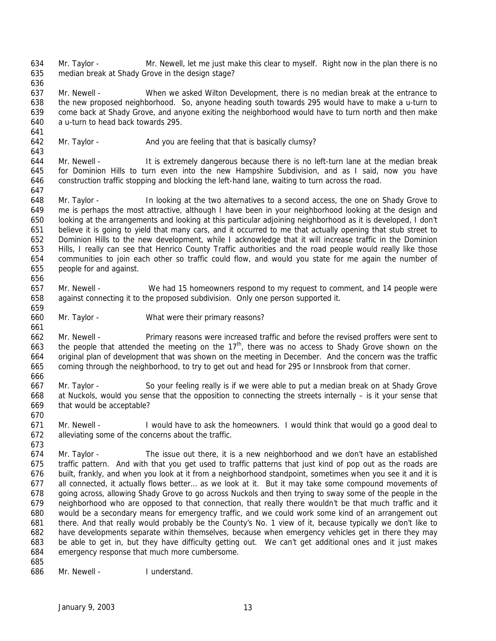Mr. Taylor - Mr. Newell, let me just make this clear to myself. Right now in the plan there is no median break at Shady Grove in the design stage?

 Mr. Newell - When we asked Wilton Development, there is no median break at the entrance to the new proposed neighborhood. So, anyone heading south towards 295 would have to make a u-turn to come back at Shady Grove, and anyone exiting the neighborhood would have to turn north and then make a u-turn to head back towards 295.

642 Mr. Taylor - And you are feeling that that is basically clumsy?

 Mr. Newell - It is extremely dangerous because there is no left-turn lane at the median break for Dominion Hills to turn even into the new Hampshire Subdivision, and as I said, now you have construction traffic stopping and blocking the left-hand lane, waiting to turn across the road.

 Mr. Taylor - In looking at the two alternatives to a second access, the one on Shady Grove to me is perhaps the most attractive, although I have been in your neighborhood looking at the design and looking at the arrangements and looking at this particular adjoining neighborhood as it is developed, I don't believe it is going to yield that many cars, and it occurred to me that actually opening that stub street to Dominion Hills to the new development, while I acknowledge that it will increase traffic in the Dominion Hills, I really can see that Henrico County Traffic authorities and the road people would really like those communities to join each other so traffic could flow, and would you state for me again the number of people for and against.

- Mr. Newell We had 15 homeowners respond to my request to comment, and 14 people were against connecting it to the proposed subdivision. Only one person supported it.
- 

Mr. Taylor - What were their primary reasons?

 Mr. Newell - Primary reasons were increased traffic and before the revised proffers were sent to 663 the people that attended the meeting on the  $17<sup>th</sup>$ , there was no access to Shady Grove shown on the original plan of development that was shown on the meeting in December. And the concern was the traffic coming through the neighborhood, to try to get out and head for 295 or Innsbrook from that corner.

 Mr. Taylor - So your feeling really is if we were able to put a median break on at Shady Grove at Nuckols, would you sense that the opposition to connecting the streets internally – is it your sense that that would be acceptable?

 Mr. Newell - I would have to ask the homeowners. I would think that would go a good deal to alleviating some of the concerns about the traffic. 

 Mr. Taylor - The issue out there, it is a new neighborhood and we don't have an established traffic pattern. And with that you get used to traffic patterns that just kind of pop out as the roads are built, frankly, and when you look at it from a neighborhood standpoint, sometimes when you see it and it is all connected, it actually flows better… as we look at it. But it may take some compound movements of going across, allowing Shady Grove to go across Nuckols and then trying to sway some of the people in the neighborhood who are opposed to that connection, that really there wouldn't be that much traffic and it would be a secondary means for emergency traffic, and we could work some kind of an arrangement out there. And that really would probably be the County's No. 1 view of it, because typically we don't like to have developments separate within themselves, because when emergency vehicles get in there they may be able to get in, but they have difficulty getting out. We can't get additional ones and it just makes emergency response that much more cumbersome. 

Mr. Newell - I understand.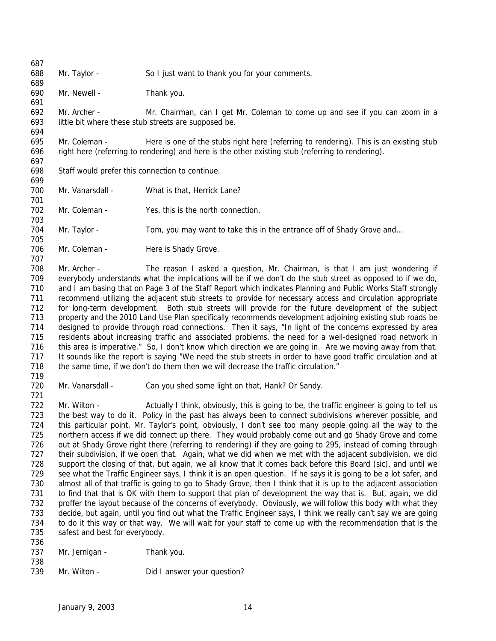Mr. Taylor - So I just want to thank you for your comments. Mr. Newell - Thank you. Mr. Archer - Mr. Chairman, can I get Mr. Coleman to come up and see if you can zoom in a little bit where these stub streets are supposed be. Mr. Coleman - Here is one of the stubs right here (referring to rendering). This is an existing stub right here (referring to rendering) and here is the other existing stub (referring to rendering). Staff would prefer this connection to continue. 700 Mr. Vanarsdall - What is that, Herrick Lane? Mr. Coleman - Yes, this is the north connection. 704 Mr. Taylor - Tom, you may want to take this in the entrance off of Shady Grove and... 706 Mr. Coleman - Here is Shady Grove. Mr. Archer - The reason I asked a question, Mr. Chairman, is that I am just wondering if everybody understands what the implications will be if we don't do the stub street as opposed to if we do, and I am basing that on Page 3 of the Staff Report which indicates Planning and Public Works Staff strongly recommend utilizing the adjacent stub streets to provide for necessary access and circulation appropriate for long-term development. Both stub streets will provide for the future development of the subject property and the 2010 Land Use Plan specifically recommends development adjoining existing stub roads be designed to provide through road connections. Then it says, "In light of the concerns expressed by area residents about increasing traffic and associated problems, the need for a well-designed road network in 716 this area is imperative." So, I don't know which direction we are going in. Are we moving away from that. It sounds like the report is saying "We need the stub streets in order to have good traffic circulation and at the same time, if we don't do them then we will decrease the traffic circulation." Mr. Vanarsdall - Can you shed some light on that, Hank? Or Sandy. 722 Mr. Wilton - Actually I think, obviously, this is going to be, the traffic engineer is going to tell us the best way to do it. Policy in the past has always been to connect subdivisions wherever possible, and this particular point, Mr. Taylor's point, obviously, I don't see too many people going all the way to the northern access if we did connect up there. They would probably come out and go Shady Grove and come out at Shady Grove right there (referring to rendering) if they are going to 295, instead of coming through their subdivision, if we open that. Again, what we did when we met with the adjacent subdivision, we did support the closing of that, but again, we all know that it comes back before this Board (sic), and until we see what the Traffic Engineer says, I think it is an open question. If he says it is going to be a lot safer, and almost all of that traffic is going to go to Shady Grove, then I think that it is up to the adjacent association to find that that is OK with them to support that plan of development the way that is. But, again, we did proffer the layout because of the concerns of everybody. Obviously, we will follow this body with what they decide, but again, until you find out what the Traffic Engineer says, I think we really can't say we are going to do it this way or that way. We will wait for your staff to come up with the recommendation that is the safest and best for everybody. 737 Mr. Jernigan - Thank you. 

739 Mr. Wilton - Did I answer your question?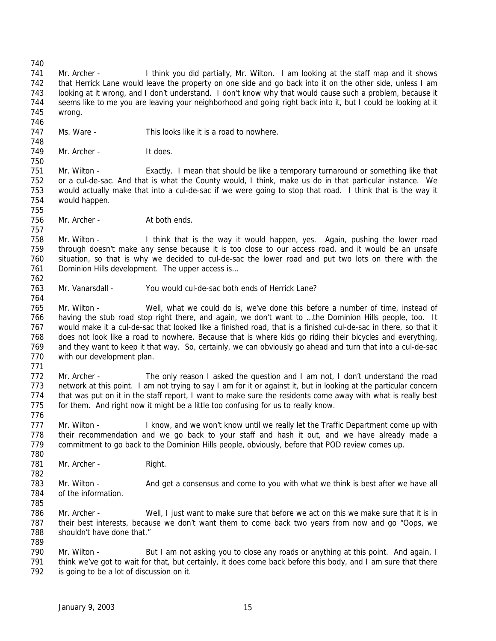Mr. Archer - I think you did partially, Mr. Wilton. I am looking at the staff map and it shows that Herrick Lane would leave the property on one side and go back into it on the other side, unless I am looking at it wrong, and I don't understand. I don't know why that would cause such a problem, because it seems like to me you are leaving your neighborhood and going right back into it, but I could be looking at it wrong. 

- Ms. Ware This looks like it is a road to nowhere.
- 749 Mr. Archer It does.

 Mr. Wilton - Exactly. I mean that should be like a temporary turnaround or something like that or a cul-de-sac. And that is what the County would, I think, make us do in that particular instance. We would actually make that into a cul-de-sac if we were going to stop that road. I think that is the way it would happen. 

756 Mr. Archer - At both ends.

 Mr. Wilton - I think that is the way it would happen, yes. Again, pushing the lower road through doesn't make any sense because it is too close to our access road, and it would be an unsafe situation, so that is why we decided to cul-de-sac the lower road and put two lots on there with the 761 Dominion Hills development. The upper access is...

Mr. Vanarsdall - You would cul-de-sac both ends of Herrick Lane?

 Mr. Wilton - Well, what we could do is, we've done this before a number of time, instead of having the stub road stop right there, and again, we don't want to …the Dominion Hills people, too. It would make it a cul-de-sac that looked like a finished road, that is a finished cul-de-sac in there, so that it does not look like a road to nowhere. Because that is where kids go riding their bicycles and everything, and they want to keep it that way. So, certainly, we can obviously go ahead and turn that into a cul-de-sac 770 with our development plan.

772 Mr. Archer - The only reason I asked the question and I am not, I don't understand the road network at this point. I am not trying to say I am for it or against it, but in looking at the particular concern that was put on it in the staff report, I want to make sure the residents come away with what is really best for them. And right now it might be a little too confusing for us to really know.

777 Mr. Wilton - I know, and we won't know until we really let the Traffic Department come up with their recommendation and we go back to your staff and hash it out, and we have already made a commitment to go back to the Dominion Hills people, obviously, before that POD review comes up.

781 Mr. Archer - Right. 

783 Mr. Wilton - And get a consensus and come to you with what we think is best after we have all of the information.

- Mr. Archer Well, I just want to make sure that before we act on this we make sure that it is in their best interests, because we don't want them to come back two years from now and go "Oops, we shouldn't have done that."
- 

790 Mr. Wilton - But I am not asking you to close any roads or anything at this point. And again, I think we've got to wait for that, but certainly, it does come back before this body, and I am sure that there is going to be a lot of discussion on it.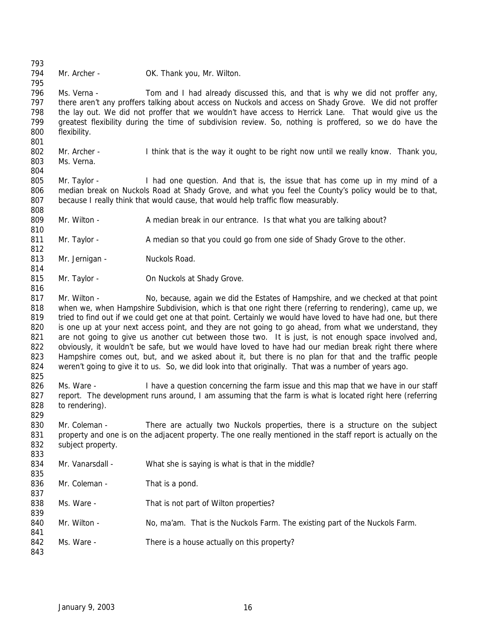794 Mr. Archer - OK. Thank you, Mr. Wilton.

796 Ms. Verna - Tom and I had already discussed this, and that is why we did not proffer any, there aren't any proffers talking about access on Nuckols and access on Shady Grove. We did not proffer the lay out. We did not proffer that we wouldn't have access to Herrick Lane. That would give us the greatest flexibility during the time of subdivision review. So, nothing is proffered, so we do have the flexibility. 

802 Mr. Archer - I think that is the way it ought to be right now until we really know. Thank you, Ms. Verna.

805 Mr. Taylor - I had one question. And that is, the issue that has come up in my mind of a median break on Nuckols Road at Shady Grove, and what you feel the County's policy would be to that, because I really think that would cause, that would help traffic flow measurably. 

Mr. Wilton - A median break in our entrance. Is that what you are talking about?

811 Mr. Taylor - A median so that you could go from one side of Shady Grove to the other.

813 Mr. Jernigan - Nuckols Road.

815 Mr. Taylor - **On Nuckols at Shady Grove.** 

817 Mr. Wilton - No, because, again we did the Estates of Hampshire, and we checked at that point when we, when Hampshire Subdivision, which is that one right there (referring to rendering), came up, we 819 tried to find out if we could get one at that point. Certainly we would have loved to have had one, but there 820 is one up at your next access point, and they are not going to go ahead, from what we understand, they 821 are not going to give us another cut between those two. It is just, is not enough space involved and, 822 obviously, it wouldn't be safe, but we would have loved to have had our median break right there where Hampshire comes out, but, and we asked about it, but there is no plan for that and the traffic people 824 weren't going to give it to us. So, we did look into that originally. That was a number of years ago.

826 Ms. Ware - I have a question concerning the farm issue and this map that we have in our staff report. The development runs around, I am assuming that the farm is what is located right here (referring to rendering).

830 Mr. Coleman - There are actually two Nuckols properties, there is a structure on the subject property and one is on the adjacent property. The one really mentioned in the staff report is actually on the subject property. 

 Mr. Vanarsdall - What she is saying is what is that in the middle? 

836 Mr. Coleman - That is a pond.

838 Ms. Ware - That is not part of Wilton properties?

- 840 Mr. Wilton No, ma'am. That is the Nuckols Farm. The existing part of the Nuckols Farm.
- 842 Ms. Ware There is a house actually on this property?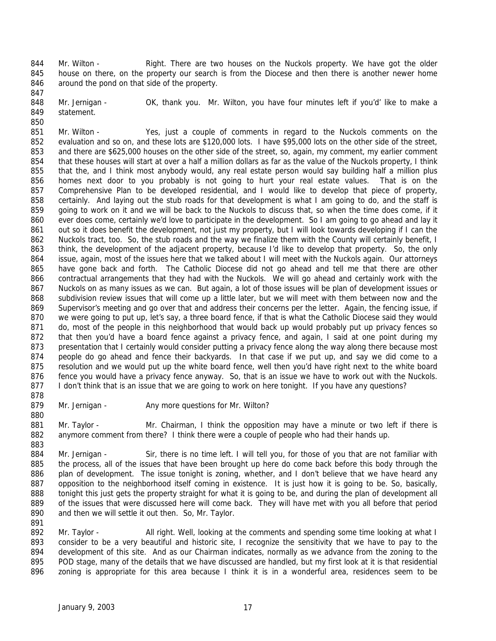844 Mr. Wilton - Right. There are two houses on the Nuckols property. We have got the older house on there, on the property our search is from the Diocese and then there is another newer home around the pond on that side of the property. 

848 Mr. Jernigan - OK, thank you. Mr. Wilton, you have four minutes left if you'd' like to make a statement.

 Mr. Wilton - Yes, just a couple of comments in regard to the Nuckols comments on the evaluation and so on, and these lots are \$120,000 lots. I have \$95,000 lots on the other side of the street, and there are \$625,000 houses on the other side of the street, so, again, my comment, my earlier comment 854 that these houses will start at over a half a million dollars as far as the value of the Nuckols property, I think 855 that the, and I think most anybody would, any real estate person would say building half a million plus homes next door to you probably is not going to hurt your real estate values. That is on the Comprehensive Plan to be developed residential, and I would like to develop that piece of property, 858 certainly. And laying out the stub roads for that development is what I am going to do, and the staff is going to work on it and we will be back to the Nuckols to discuss that, so when the time does come, if it ever does come, certainly we'd love to participate in the development. So I am going to go ahead and lay it 861 out so it does benefit the development, not just my property, but I will look towards developing if I can the Nuckols tract, too. So, the stub roads and the way we finalize them with the County will certainly benefit, I 863 think, the development of the adjacent property, because I'd like to develop that property. So, the only issue, again, most of the issues here that we talked about I will meet with the Nuckols again. Our attorneys have gone back and forth. The Catholic Diocese did not go ahead and tell me that there are other contractual arrangements that they had with the Nuckols. We will go ahead and certainly work with the Nuckols on as many issues as we can. But again, a lot of those issues will be plan of development issues or subdivision review issues that will come up a little later, but we will meet with them between now and the Supervisor's meeting and go over that and address their concerns per the letter. Again, the fencing issue, if we were going to put up, let's say, a three board fence, if that is what the Catholic Diocese said they would 871 do, most of the people in this neighborhood that would back up would probably put up privacy fences so that then you'd have a board fence against a privacy fence, and again, I said at one point during my 873 presentation that I certainly would consider putting a privacy fence along the way along there because most people do go ahead and fence their backyards. In that case if we put up, and say we did come to a resolution and we would put up the white board fence, well then you'd have right next to the white board fence you would have a privacy fence anyway. So, that is an issue we have to work out with the Nuckols. 877 I don't think that is an issue that we are going to work on here tonight. If you have any questions?

879 Mr. Jernigan - Any more questions for Mr. Wilton?

881 Mr. Taylor - Mr. Chairman, I think the opposition may have a minute or two left if there is anymore comment from there? I think there were a couple of people who had their hands up. 

884 Mr. Jernigan - Sir, there is no time left. I will tell you, for those of you that are not familiar with the process, all of the issues that have been brought up here do come back before this body through the 886 plan of development. The issue tonight is zoning, whether, and I don't believe that we have heard any opposition to the neighborhood itself coming in existence. It is just how it is going to be. So, basically, tonight this just gets the property straight for what it is going to be, and during the plan of development all 889 of the issues that were discussed here will come back. They will have met with you all before that period and then we will settle it out then. So, Mr. Taylor.

892 Mr. Taylor - All right. Well, looking at the comments and spending some time looking at what I consider to be a very beautiful and historic site, I recognize the sensitivity that we have to pay to the 894 development of this site. And as our Chairman indicates, normally as we advance from the zoning to the POD stage, many of the details that we have discussed are handled, but my first look at it is that residential zoning is appropriate for this area because I think it is in a wonderful area, residences seem to be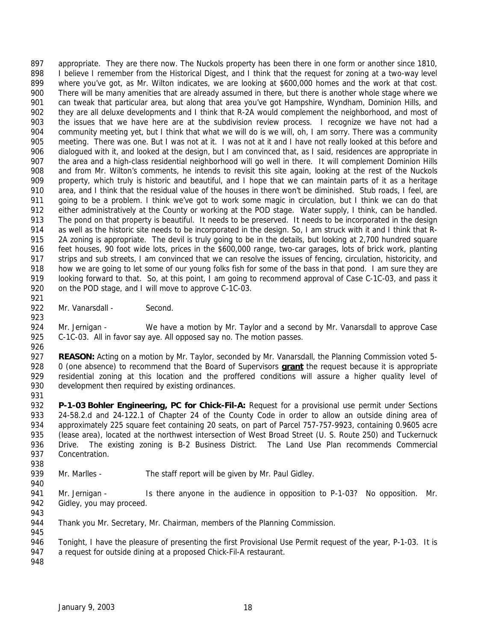appropriate. They are there now. The Nuckols property has been there in one form or another since 1810, 898 I believe I remember from the Historical Digest, and I think that the request for zoning at a two-way level where you've got, as Mr. Wilton indicates, we are looking at \$600,000 homes and the work at that cost. There will be many amenities that are already assumed in there, but there is another whole stage where we 901 can tweak that particular area, but along that area you've got Hampshire, Wyndham, Dominion Hills, and they are all deluxe developments and I think that R-2A would complement the neighborhood, and most of the issues that we have here are at the subdivision review process. I recognize we have not had a community meeting yet, but I think that what we will do is we will, oh, I am sorry. There was a community meeting. There was one. But I was not at it. I was not at it and I have not really looked at this before and dialogued with it, and looked at the design, but I am convinced that, as I said, residences are appropriate in 907 the area and a high-class residential neighborhood will go well in there. It will complement Dominion Hills and from Mr. Wilton's comments, he intends to revisit this site again, looking at the rest of the Nuckols property, which truly is historic and beautiful, and I hope that we can maintain parts of it as a heritage area, and I think that the residual value of the houses in there won't be diminished. Stub roads, I feel, are 911 going to be a problem. I think we've got to work some magic in circulation, but I think we can do that either administratively at the County or working at the POD stage. Water supply, I think, can be handled. The pond on that property is beautiful. It needs to be preserved. It needs to be incorporated in the design as well as the historic site needs to be incorporated in the design. So, I am struck with it and I think that R-915 2A zoning is appropriate. The devil is truly going to be in the details, but looking at 2,700 hundred square feet houses, 90 foot wide lots, prices in the \$600,000 range, two-car garages, lots of brick work, planting strips and sub streets, I am convinced that we can resolve the issues of fencing, circulation, historicity, and how we are going to let some of our young folks fish for some of the bass in that pond. I am sure they are looking forward to that. So, at this point, I am going to recommend approval of Case C-1C-03, and pass it 920 on the POD stage, and I will move to approve C-1C-03. 

- 922 Mr. Vanarsdall Second.
- 

924 Mr. Jernigan - We have a motion by Mr. Taylor and a second by Mr. Vanarsdall to approve Case C-1C-03. All in favor say aye. All opposed say no. The motion passes.

- **REASON:** Acting on a motion by Mr. Taylor, seconded by Mr. Vanarsdall, the Planning Commission voted 5- 0 (one absence) to recommend that the Board of Supervisors **grant** the request because it is appropriate residential zoning at this location and the proffered conditions will assure a higher quality level of development then required by existing ordinances.
- 

 **P-1-03 Bohler Engineering, PC for Chick-Fil-A:** Request for a provisional use permit under Sections 24-58.2.d and 24-122.1 of Chapter 24 of the County Code in order to allow an outside dining area of approximately 225 square feet containing 20 seats, on part of Parcel 757-757-9923, containing 0.9605 acre (lease area), located at the northwest intersection of West Broad Street (U. S. Route 250) and Tuckernuck Drive. The existing zoning is B-2 Business District. The Land Use Plan recommends Commercial Concentration.

- 939 Mr. Marlles The staff report will be given by Mr. Paul Gidley.
- 941 Mr. Jernigan Is there anyone in the audience in opposition to P-1-03? No opposition. Mr. Gidley, you may proceed.
- 

- Thank you Mr. Secretary, Mr. Chairman, members of the Planning Commission.
- Tonight, I have the pleasure of presenting the first Provisional Use Permit request of the year, P-1-03. It is
- 947 a request for outside dining at a proposed Chick-Fil-A restaurant.
-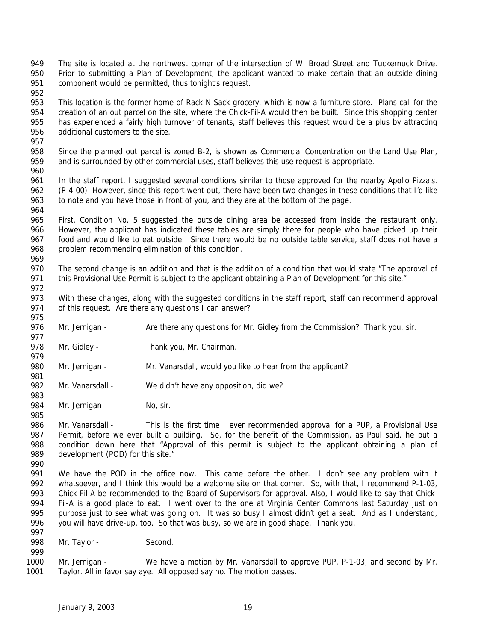- The site is located at the northwest corner of the intersection of W. Broad Street and Tuckernuck Drive. Prior to submitting a Plan of Development, the applicant wanted to make certain that an outside dining component would be permitted, thus tonight's request.
- This location is the former home of Rack N Sack grocery, which is now a furniture store. Plans call for the creation of an out parcel on the site, where the Chick-Fil-A would then be built. Since this shopping center has experienced a fairly high turnover of tenants, staff believes this request would be a plus by attracting additional customers to the site.
- Since the planned out parcel is zoned B-2, is shown as Commercial Concentration on the Land Use Plan, and is surrounded by other commercial uses, staff believes this use request is appropriate.
- In the staff report, I suggested several conditions similar to those approved for the nearby Apollo Pizza's. 962 (P-4-00) However, since this report went out, there have been two changes in these conditions that I'd like to note and you have those in front of you, and they are at the bottom of the page.
- First, Condition No. 5 suggested the outside dining area be accessed from inside the restaurant only. However, the applicant has indicated these tables are simply there for people who have picked up their food and would like to eat outside. Since there would be no outside table service, staff does not have a 968 problem recommending elimination of this condition.
- The second change is an addition and that is the addition of a condition that would state "The approval of 971 this Provisional Use Permit is subject to the applicant obtaining a Plan of Development for this site."
- 973 With these changes, along with the suggested conditions in the staff report, staff can recommend approval of this request. Are there any questions I can answer?
- 976 Mr. Jernigan Are there any questions for Mr. Gidley from the Commission? Thank you, sir.
- 978 Mr. Gidley Thank you, Mr. Chairman.
- Mr. Jernigan Mr. Vanarsdall, would you like to hear from the applicant?
- 982 Mr. Vanarsdall We didn't have any opposition, did we?
- 984 Mr. Jernigan No, sir.
- Mr. Vanarsdall This is the first time I ever recommended approval for a PUP, a Provisional Use Permit, before we ever built a building. So, for the benefit of the Commission, as Paul said, he put a condition down here that "Approval of this permit is subject to the applicant obtaining a plan of 989 development (POD) for this site."
- 

- We have the POD in the office now. This came before the other. I don't see any problem with it whatsoever, and I think this would be a welcome site on that corner. So, with that, I recommend P-1-03, Chick-Fil-A be recommended to the Board of Supervisors for approval. Also, I would like to say that Chick-994 Fil-A is a good place to eat. I went over to the one at Virginia Center Commons last Saturday just on purpose just to see what was going on. It was so busy I almost didn't get a seat. And as I understand, you will have drive-up, too. So that was busy, so we are in good shape. Thank you.
- 998 Mr. Taylor Second.
- Mr. Jernigan We have a motion by Mr. Vanarsdall to approve PUP, P-1-03, and second by Mr. Taylor. All in favor say aye. All opposed say no. The motion passes.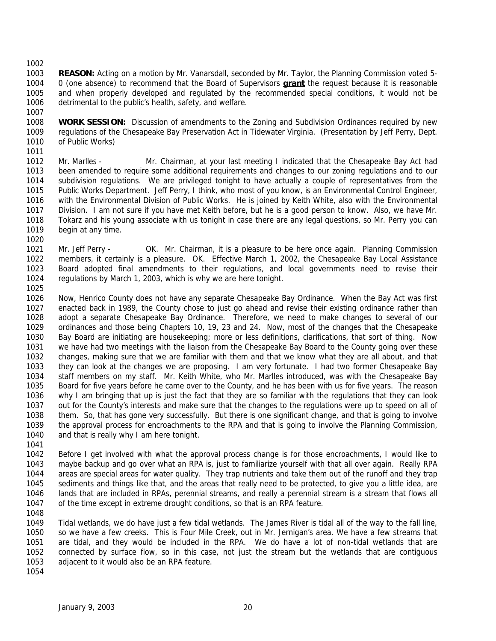**REASON:** Acting on a motion by Mr. Vanarsdall, seconded by Mr. Taylor, the Planning Commission voted 5- 0 (one absence) to recommend that the Board of Supervisors **grant** the request because it is reasonable and when properly developed and regulated by the recommended special conditions, it would not be detrimental to the public's health, safety, and welfare. 

- **WORK SESSION:** Discussion of amendments to the Zoning and Subdivision Ordinances required by new regulations of the Chesapeake Bay Preservation Act in Tidewater Virginia. (Presentation by Jeff Perry, Dept. of Public Works)
- Mr. Marlles Mr. Chairman, at your last meeting I indicated that the Chesapeake Bay Act had been amended to require some additional requirements and changes to our zoning regulations and to our subdivision regulations. We are privileged tonight to have actually a couple of representatives from the Public Works Department. Jeff Perry, I think, who most of you know, is an Environmental Control Engineer, with the Environmental Division of Public Works. He is joined by Keith White, also with the Environmental Division. I am not sure if you have met Keith before, but he is a good person to know. Also, we have Mr. Tokarz and his young associate with us tonight in case there are any legal questions, so Mr. Perry you can begin at any time.
- 1021 Mr. Jeff Perry OK. Mr. Chairman, it is a pleasure to be here once again. Planning Commission members, it certainly is a pleasure. OK. Effective March 1, 2002, the Chesapeake Bay Local Assistance Board adopted final amendments to their regulations, and local governments need to revise their regulations by March 1, 2003, which is why we are here tonight.
- Now, Henrico County does not have any separate Chesapeake Bay Ordinance. When the Bay Act was first enacted back in 1989, the County chose to just go ahead and revise their existing ordinance rather than adopt a separate Chesapeake Bay Ordinance. Therefore, we need to make changes to several of our ordinances and those being Chapters 10, 19, 23 and 24. Now, most of the changes that the Chesapeake Bay Board are initiating are housekeeping; more or less definitions, clarifications, that sort of thing. Now we have had two meetings with the liaison from the Chesapeake Bay Board to the County going over these changes, making sure that we are familiar with them and that we know what they are all about, and that they can look at the changes we are proposing. I am very fortunate. I had two former Chesapeake Bay staff members on my staff. Mr. Keith White, who Mr. Marlles introduced, was with the Chesapeake Bay Board for five years before he came over to the County, and he has been with us for five years. The reason why I am bringing that up is just the fact that they are so familiar with the regulations that they can look out for the County's interests and make sure that the changes to the regulations were up to speed on all of them. So, that has gone very successfully. But there is one significant change, and that is going to involve the approval process for encroachments to the RPA and that is going to involve the Planning Commission, and that is really why I am here tonight.
- 

 Before I get involved with what the approval process change is for those encroachments, I would like to maybe backup and go over what an RPA is, just to familiarize yourself with that all over again. Really RPA areas are special areas for water quality. They trap nutrients and take them out of the runoff and they trap sediments and things like that, and the areas that really need to be protected, to give you a little idea, are lands that are included in RPAs, perennial streams, and really a perennial stream is a stream that flows all of the time except in extreme drought conditions, so that is an RPA feature.

 Tidal wetlands, we do have just a few tidal wetlands. The James River is tidal all of the way to the fall line, so we have a few creeks. This is Four Mile Creek, out in Mr. Jernigan's area. We have a few streams that are tidal, and they would be included in the RPA. We do have a lot of non-tidal wetlands that are connected by surface flow, so in this case, not just the stream but the wetlands that are contiguous adjacent to it would also be an RPA feature.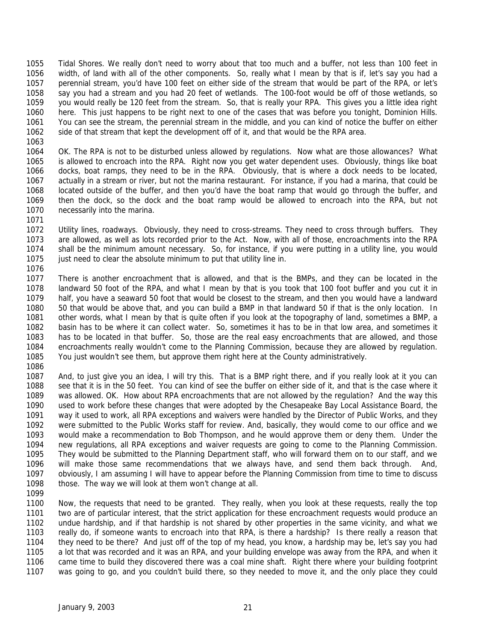Tidal Shores. We really don't need to worry about that too much and a buffer, not less than 100 feet in width, of land with all of the other components. So, really what I mean by that is if, let's say you had a perennial stream, you'd have 100 feet on either side of the stream that would be part of the RPA, or let's say you had a stream and you had 20 feet of wetlands. The 100-foot would be off of those wetlands, so you would really be 120 feet from the stream. So, that is really your RPA. This gives you a little idea right here. This just happens to be right next to one of the cases that was before you tonight, Dominion Hills. You can see the stream, the perennial stream in the middle, and you can kind of notice the buffer on either side of that stream that kept the development off of it, and that would be the RPA area.

 OK. The RPA is not to be disturbed unless allowed by regulations. Now what are those allowances? What is allowed to encroach into the RPA. Right now you get water dependent uses. Obviously, things like boat docks, boat ramps, they need to be in the RPA. Obviously, that is where a dock needs to be located, actually in a stream or river, but not the marina restaurant. For instance, if you had a marina, that could be located outside of the buffer, and then you'd have the boat ramp that would go through the buffer, and then the dock, so the dock and the boat ramp would be allowed to encroach into the RPA, but not necessarily into the marina.

 Utility lines, roadways. Obviously, they need to cross-streams. They need to cross through buffers. They are allowed, as well as lots recorded prior to the Act. Now, with all of those, encroachments into the RPA shall be the minimum amount necessary. So, for instance, if you were putting in a utility line, you would 1075 just need to clear the absolute minimum to put that utility line in. 

 There is another encroachment that is allowed, and that is the BMPs, and they can be located in the landward 50 foot of the RPA, and what I mean by that is you took that 100 foot buffer and you cut it in half, you have a seaward 50 foot that would be closest to the stream, and then you would have a landward 50 that would be above that, and you can build a BMP in that landward 50 if that is the only location. In other words, what I mean by that is quite often if you look at the topography of land, sometimes a BMP, a basin has to be where it can collect water. So, sometimes it has to be in that low area, and sometimes it has to be located in that buffer. So, those are the real easy encroachments that are allowed, and those encroachments really wouldn't come to the Planning Commission, because they are allowed by regulation. You just wouldn't see them, but approve them right here at the County administratively.

 And, to just give you an idea, I will try this. That is a BMP right there, and if you really look at it you can see that it is in the 50 feet. You can kind of see the buffer on either side of it, and that is the case where it was allowed. OK. How about RPA encroachments that are not allowed by the regulation? And the way this used to work before these changes that were adopted by the Chesapeake Bay Local Assistance Board, the way it used to work, all RPA exceptions and waivers were handled by the Director of Public Works, and they were submitted to the Public Works staff for review. And, basically, they would come to our office and we would make a recommendation to Bob Thompson, and he would approve them or deny them. Under the new regulations, all RPA exceptions and waiver requests are going to come to the Planning Commission. They would be submitted to the Planning Department staff, who will forward them on to our staff, and we will make those same recommendations that we always have, and send them back through. And, obviously, I am assuming I will have to appear before the Planning Commission from time to time to discuss those. The way we will look at them won't change at all.

 Now, the requests that need to be granted. They really, when you look at these requests, really the top two are of particular interest, that the strict application for these encroachment requests would produce an undue hardship, and if that hardship is not shared by other properties in the same vicinity, and what we really do, if someone wants to encroach into that RPA, is there a hardship? Is there really a reason that they need to be there? And just off of the top of my head, you know, a hardship may be, let's say you had a lot that was recorded and it was an RPA, and your building envelope was away from the RPA, and when it came time to build they discovered there was a coal mine shaft. Right there where your building footprint was going to go, and you couldn't build there, so they needed to move it, and the only place they could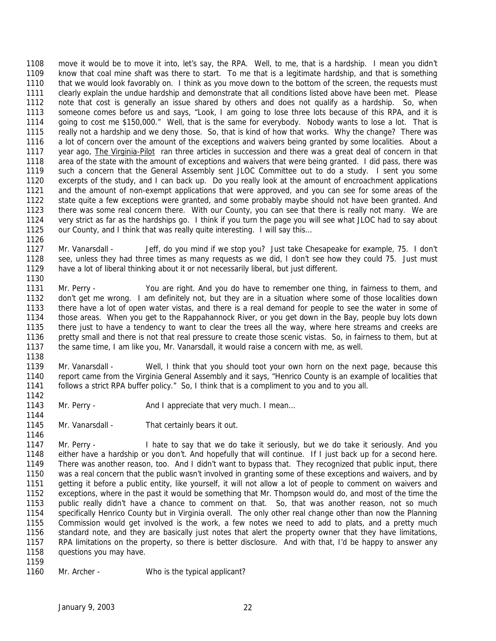move it would be to move it into, let's say, the RPA. Well, to me, that is a hardship. I mean you didn't know that coal mine shaft was there to start. To me that is a legitimate hardship, and that is something that we would look favorably on. I think as you move down to the bottom of the screen, the requests must clearly explain the undue hardship and demonstrate that all conditions listed above have been met. Please note that cost is generally an issue shared by others and does not qualify as a hardship. So, when someone comes before us and says, "Look, I am going to lose three lots because of this RPA, and it is going to cost me \$150,000." Well, that is the same for everybody. Nobody wants to lose a lot. That is really not a hardship and we deny those. So, that is kind of how that works. Why the change? There was a lot of concern over the amount of the exceptions and waivers being granted by some localities. About a year ago, The Virginia-Pilot ran three articles in succession and there was a great deal of concern in that area of the state with the amount of exceptions and waivers that were being granted. I did pass, there was such a concern that the General Assembly sent JLOC Committee out to do a study. I sent you some excerpts of the study, and I can back up. Do you really look at the amount of encroachment applications and the amount of non-exempt applications that were approved, and you can see for some areas of the state quite a few exceptions were granted, and some probably maybe should not have been granted. And there was some real concern there. With our County, you can see that there is really not many. We are very strict as far as the hardships go. I think if you turn the page you will see what JLOC had to say about 1125 our County, and I think that was really quite interesting. I will say this...

1127 Mr. Vanarsdall - Jeff, do you mind if we stop you? Just take Chesapeake for example, 75. I don't see, unless they had three times as many requests as we did, I don't see how they could 75. Just must have a lot of liberal thinking about it or not necessarily liberal, but just different.

 Mr. Perry - You are right. And you do have to remember one thing, in fairness to them, and don't get me wrong. I am definitely not, but they are in a situation where some of those localities down there have a lot of open water vistas, and there is a real demand for people to see the water in some of those areas. When you get to the Rappahannock River, or you get down in the Bay, people buy lots down there just to have a tendency to want to clear the trees all the way, where here streams and creeks are pretty small and there is not that real pressure to create those scenic vistas. So, in fairness to them, but at the same time, I am like you, Mr. Vanarsdall, it would raise a concern with me, as well.

 Mr. Vanarsdall - Well, I think that you should toot your own horn on the next page, because this report came from the Virginia General Assembly and it says, "Henrico County is an example of localities that follows a strict RPA buffer policy." So, I think that is a compliment to you and to you all.

- 1143 Mr. Perry And I appreciate that very much. I mean...
- 1145 Mr. Vanarsdall That certainly bears it out.

 Mr. Perry - I hate to say that we do take it seriously, but we do take it seriously. And you either have a hardship or you don't. And hopefully that will continue. If I just back up for a second here. There was another reason, too. And I didn't want to bypass that. They recognized that public input, there was a real concern that the public wasn't involved in granting some of these exceptions and waivers, and by getting it before a public entity, like yourself, it will not allow a lot of people to comment on waivers and exceptions, where in the past it would be something that Mr. Thompson would do, and most of the time the public really didn't have a chance to comment on that. So, that was another reason, not so much specifically Henrico County but in Virginia overall. The only other real change other than now the Planning Commission would get involved is the work, a few notes we need to add to plats, and a pretty much standard note, and they are basically just notes that alert the property owner that they have limitations, RPA limitations on the property, so there is better disclosure. And with that, I'd be happy to answer any questions you may have. 

Mr. Archer - Who is the typical applicant?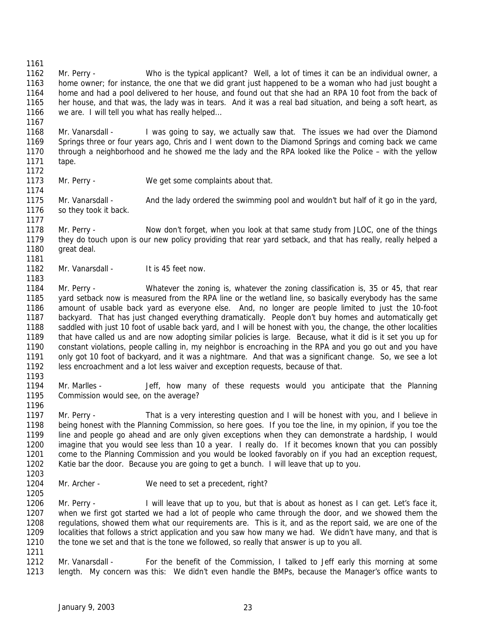Mr. Perry - Whatever the zoning is, whatever the zoning classification is, 35 or 45, that rear yard setback now is measured from the RPA line or the wetland line, so basically everybody has the same amount of usable back yard as everyone else. And, no longer are people limited to just the 10-foot backyard. That has just changed everything dramatically. People don't buy homes and automatically get saddled with just 10 foot of usable back yard, and I will be honest with you, the change, the other localities that have called us and are now adopting similar policies is large. Because, what it did is it set you up for constant violations, people calling in, my neighbor is encroaching in the RPA and you go out and you have only got 10 foot of backyard, and it was a nightmare. And that was a significant change. So, we see a lot less encroachment and a lot less waiver and exception requests, because of that. Mr. Marlles - Jeff, how many of these requests would you anticipate that the Planning Mr. Perry - That is a very interesting question and I will be honest with you, and I believe in Mr. Archer - We need to set a precedent, right? 1206 Mr. Perry - I will leave that up to you, but that is about as honest as I can get. Let's face it, when we first got started we had a lot of people who came through the door, and we showed them the regulations, showed them what our requirements are. This is it, and as the report said, we are one of the localities that follows a strict application and you saw how many we had. We didn't have many, and that is 1210 the tone we set and that is the tone we followed, so really that answer is up to you all. Mr. Vanarsdall - For the benefit of the Commission, I talked to Jeff early this morning at some length. My concern was this: We didn't even handle the BMPs, because the Manager's office wants to

 Mr. Perry - Who is the typical applicant? Well, a lot of times it can be an individual owner, a home owner; for instance, the one that we did grant just happened to be a woman who had just bought a home and had a pool delivered to her house, and found out that she had an RPA 10 foot from the back of her house, and that was, the lady was in tears. And it was a real bad situation, and being a soft heart, as we are. I will tell you what has really helped…

- Mr. Vanarsdall - I was going to say, we actually saw that. The issues we had over the Diamond Springs three or four years ago, Chris and I went down to the Diamond Springs and coming back we came through a neighborhood and he showed me the lady and the RPA looked like the Police – with the yellow tape.
- 

Mr. Perry - We get some complaints about that.

1175 Mr. Vanarsdall - And the lady ordered the swimming pool and wouldn't but half of it go in the yard, so they took it back.

- Mr. Perry Now don't forget, when you look at that same study from JLOC, one of the things they do touch upon is our new policy providing that rear yard setback, and that has really, really helped a 1180 great deal.
- 1182 Mr. Vanarsdall It is 45 feet now.

 Commission would see, on the average? 

 being honest with the Planning Commission, so here goes. If you toe the line, in my opinion, if you toe the line and people go ahead and are only given exceptions when they can demonstrate a hardship, I would imagine that you would see less than 10 a year. I really do. If it becomes known that you can possibly come to the Planning Commission and you would be looked favorably on if you had an exception request, Katie bar the door. Because you are going to get a bunch. I will leave that up to you.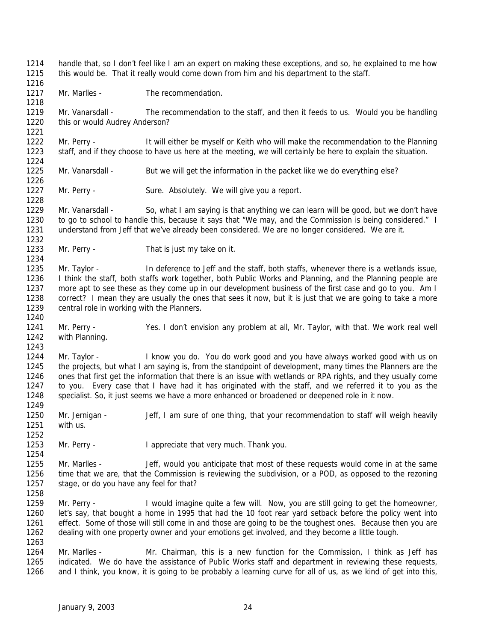Mr. Vanarsdall - The recommendation to the staff, and then it feeds to us. Would you be handling this or would Audrey Anderson? 1222 Mr. Perry - It will either be myself or Keith who will make the recommendation to the Planning staff, and if they choose to have us here at the meeting, we will certainly be here to explain the situation. Mr. Vanarsdall - But we will get the information in the packet like we do everything else? 1227 Mr. Perry - Sure. Absolutely. We will give you a report. Mr. Vanarsdall - So, what I am saying is that anything we can learn will be good, but we don't have to go to school to handle this, because it says that "We may, and the Commission is being considered." I understand from Jeff that we've already been considered. We are no longer considered. We are it. Mr. Perry - That is just my take on it. Mr. Taylor - In deference to Jeff and the staff, both staffs, whenever there is a wetlands issue, I think the staff, both staffs work together, both Public Works and Planning, and the Planning people are more apt to see these as they come up in our development business of the first case and go to you. Am I correct? I mean they are usually the ones that sees it now, but it is just that we are going to take a more central role in working with the Planners. Mr. Perry - Yes. I don't envision any problem at all, Mr. Taylor, with that. We work real well with Planning. 1244 Mr. Taylor - I know you do. You do work good and you have always worked good with us on the projects, but what I am saying is, from the standpoint of development, many times the Planners are the ones that first get the information that there is an issue with wetlands or RPA rights, and they usually come to you. Every case that I have had it has originated with the staff, and we referred it to you as the specialist. So, it just seems we have a more enhanced or broadened or deepened role in it now. Mr. Jernigan - Jeff, I am sure of one thing, that your recommendation to staff will weigh heavily with us. Mr. Perry - I appreciate that very much. Thank you. Mr. Marlles - Jeff, would you anticipate that most of these requests would come in at the same time that we are, that the Commission is reviewing the subdivision, or a POD, as opposed to the rezoning stage, or do you have any feel for that? 1259 Mr. Perry - I would imagine quite a few will. Now, you are still going to get the homeowner, let's say, that bought a home in 1995 that had the 10 foot rear yard setback before the policy went into effect. Some of those will still come in and those are going to be the toughest ones. Because then you are dealing with one property owner and your emotions get involved, and they become a little tough. Mr. Marlles - Mr. Chairman, this is a new function for the Commission, I think as Jeff has indicated. We do have the assistance of Public Works staff and department in reviewing these requests, and I think, you know, it is going to be probably a learning curve for all of us, as we kind of get into this,

handle that, so I don't feel like I am an expert on making these exceptions, and so, he explained to me how

this would be. That it really would come down from him and his department to the staff.

1217 Mr. Marlles - The recommendation.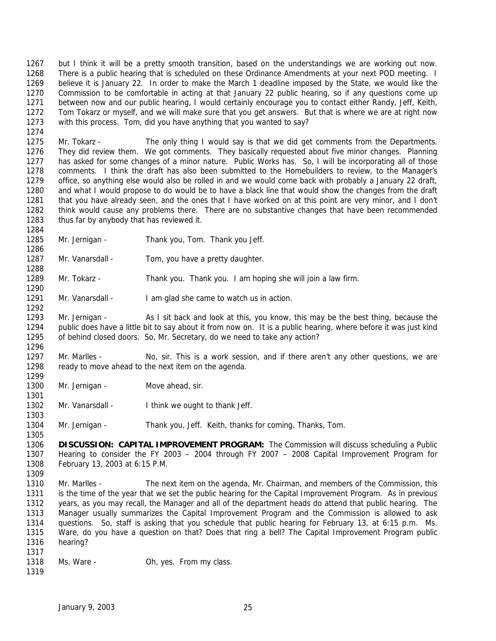but I think it will be a pretty smooth transition, based on the understandings we are working out now. 1268 There is a public hearing that is scheduled on these Ordinance Amendments at your next POD meeting. I believe it is January 22. In order to make the March 1 deadline imposed by the State, we would like the Commission to be comfortable in acting at that January 22 public hearing, so if any questions come up between now and our public hearing, I would certainly encourage you to contact either Randy, Jeff, Keith, Tom Tokarz or myself, and we will make sure that you get answers. But that is where we are at right now with this process. Tom, did you have anything that you wanted to say?

 Mr. Tokarz - The only thing I would say is that we did get comments from the Departments. They did review them. We got comments. They basically requested about five minor changes. Planning has asked for some changes of a minor nature. Public Works has. So, I will be incorporating all of those comments. I think the draft has also been submitted to the Homebuilders to review, to the Manager's office, so anything else would also be rolled in and we would come back with probably a January 22 draft, and what I would propose to do would be to have a black line that would show the changes from the draft that you have already seen, and the ones that I have worked on at this point are very minor, and I don't think would cause any problems there. There are no substantive changes that have been recommended 1283 thus far by anybody that has reviewed it.

- Mr. Jernigan Thank you, Tom. Thank you Jeff.
- Mr. Vanarsdall Tom, you have a pretty daughter.

Mr. Tokarz - Thank you. Thank you. I am hoping she will join a law firm.

1291 Mr. Vanarsdall - I am glad she came to watch us in action.

 Mr. Jernigan - As I sit back and look at this, you know, this may be the best thing, because the public does have a little bit to say about it from now on. It is a public hearing, where before it was just kind of behind closed doors. So, Mr. Secretary, do we need to take any action? 

- 1297 Mr. Marlles No, sir. This is a work session, and if there aren't any other questions, we are ready to move ahead to the next item on the agenda.
- 1300 Mr. Jernigan Move ahead, sir.

- 1302 Mr. Vanarsdall I think we ought to thank Jeff.
- Mr. Jernigan Thank you, Jeff. Keith, thanks for coming. Thanks, Tom.

- Mr. Marlles The next item on the agenda, Mr. Chairman, and members of the Commission, this is the time of the year that we set the public hearing for the Capital Improvement Program. As in previous years, as you may recall, the Manager and all of the department heads do attend that public hearing. The Manager usually summarizes the Capital Improvement Program and the Commission is allowed to ask questions. So, staff is asking that you schedule that public hearing for February 13, at 6:15 p.m. Ms. Ware, do you have a question on that? Does that ring a bell? The Capital Improvement Program public hearing?
- 1318 Ms. Ware Oh, yes. From my class.

 **DISCUSSION: CAPITAL IMPROVEMENT PROGRAM:** The Commission will discuss scheduling a Public Hearing to consider the FY 2003 – 2004 through FY 2007 – 2008 Capital Improvement Program for February 13, 2003 at 6:15 P.M.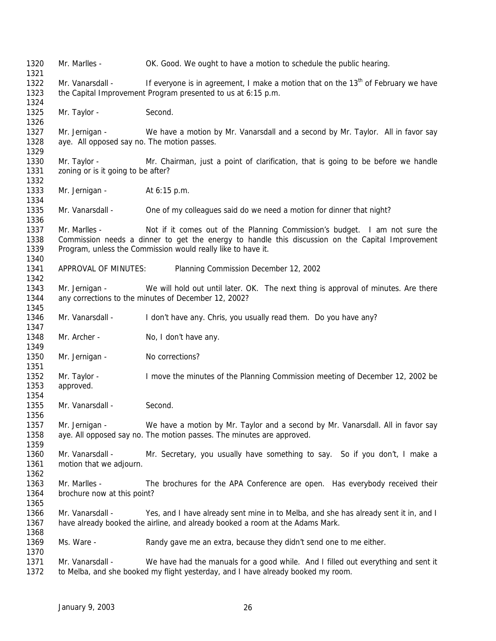Mr. Marlles - OK. Good. We ought to have a motion to schedule the public hearing. 1322 Mr. Vanarsdall - If everyone is in agreement, I make a motion that on the 13<sup>th</sup> of February we have the Capital Improvement Program presented to us at 6:15 p.m. 1325 Mr. Taylor - Second. Mr. Jernigan - We have a motion by Mr. Vanarsdall and a second by Mr. Taylor. All in favor say aye. All opposed say no. The motion passes. Mr. Taylor - Mr. Chairman, just a point of clarification, that is going to be before we handle 1331 zoning or is it going to be after? 1333 Mr. Jernigan - At 6:15 p.m. Mr. Vanarsdall - One of my colleagues said do we need a motion for dinner that night? Mr. Marlles - Not if it comes out of the Planning Commission's budget. I am not sure the Commission needs a dinner to get the energy to handle this discussion on the Capital Improvement Program, unless the Commission would really like to have it. APPROVAL OF MINUTES: Planning Commission December 12, 2002 Mr. Jernigan - We will hold out until later. OK. The next thing is approval of minutes. Are there any corrections to the minutes of December 12, 2002? Mr. Vanarsdall - I don't have any. Chris, you usually read them. Do you have any? 1348 Mr. Archer - No, I don't have any. 1350 Mr. Jernigan - No corrections? Mr. Taylor - I move the minutes of the Planning Commission meeting of December 12, 2002 be approved. 1355 Mr. Vanarsdall - Second. Mr. Jernigan - We have a motion by Mr. Taylor and a second by Mr. Vanarsdall. All in favor say aye. All opposed say no. The motion passes. The minutes are approved. Mr. Vanarsdall - Mr. Secretary, you usually have something to say. So if you don't, I make a motion that we adjourn. Mr. Marlles - The brochures for the APA Conference are open. Has everybody received their brochure now at this point? Mr. Vanarsdall - Yes, and I have already sent mine in to Melba, and she has already sent it in, and I have already booked the airline, and already booked a room at the Adams Mark. Ms. Ware - Randy gave me an extra, because they didn't send one to me either. Mr. Vanarsdall - We have had the manuals for a good while. And I filled out everything and sent it to Melba, and she booked my flight yesterday, and I have already booked my room.